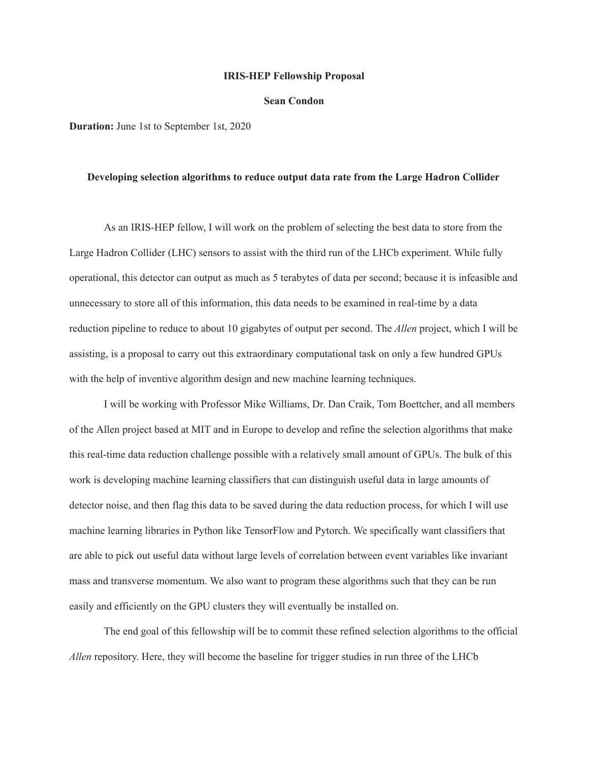#### **IRIS-HEP Fellowship Proposal**

### **Sean Condon**

**Duration:** June 1st to September 1st, 2020

### **Developing selection algorithms to reduce output data rate from the Large Hadron Collider**

As an IRIS-HEP fellow, I will work on the problem of selecting the best data to store from the Large Hadron Collider (LHC) sensors to assist with the third run of the LHCb experiment. While fully operational, this detector can output as much as 5 terabytes of data per second; because it is infeasible and unnecessary to store all of this information, this data needs to be examined in real-time by a data reduction pipeline to reduce to about 10 gigabytes of output per second. The *Allen* project, which I will be assisting, is a proposal to carry out this extraordinary computational task on only a few hundred GPUs with the help of inventive algorithm design and new machine learning techniques.

I will be working with Professor Mike Williams, Dr. Dan Craik, Tom Boettcher, and all members of the Allen project based at MIT and in Europe to develop and refine the selection algorithms that make this real-time data reduction challenge possible with a relatively small amount of GPUs. The bulk of this work is developing machine learning classifiers that can distinguish useful data in large amounts of detector noise, and then flag this data to be saved during the data reduction process, for which I will use machine learning libraries in Python like TensorFlow and Pytorch. We specifically want classifiers that are able to pick out useful data without large levels of correlation between event variables like invariant mass and transverse momentum. We also want to program these algorithms such that they can be run easily and efficiently on the GPU clusters they will eventually be installed on.

The end goal of this fellowship will be to commit these refined selection algorithms to the official *Allen* repository. Here, they will become the baseline for trigger studies in run three of the LHCb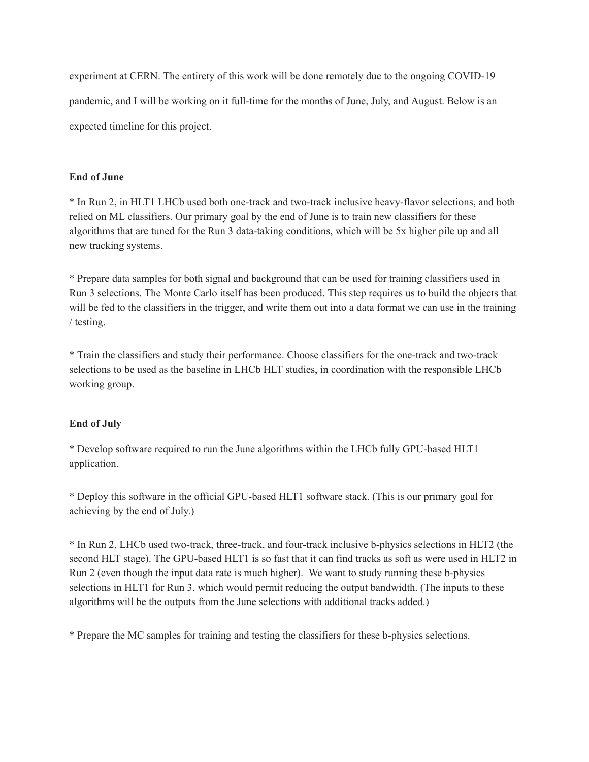experiment at CERN. The entirety of this work will be done remotely due to the ongoing COVID-19 pandemic, and I will be working on it full-time for the months of June, July, and August. Below is an expected timeline for this project.

# **End of June**

\* In Run 2, in HLT1 LHCb used both one-track and two-track inclusive heavy-flavor selections, and both relied on ML classifiers. Our primary goal by the end of June is to train new classifiers for these algorithms that are tuned for the Run 3 data-taking conditions, which will be 5x higher pile up and all new tracking systems.

\* Prepare data samples for both signal and background that can be used for training classifiers used in Run 3 selections. The Monte Carlo itself has been produced. This step requires us to build the objects that will be fed to the classifiers in the trigger, and write them out into a data format we can use in the training / testing.

\* Train the classifiers and study their performance. Choose classifiers for the one-track and two-track selections to be used as the baseline in LHCb HLT studies, in coordination with the responsible LHCb working group.

# **End of July**

\* Develop software required to run the June algorithms within the LHCb fully GPU-based HLT1 application.

\* Deploy this software in the official GPU-based HLT1 software stack. (This is our primary goal for achieving by the end of July.)

\* In Run 2, LHCb used two-track, three-track, and four-track inclusive b-physics selections in HLT2 (the second HLT stage). The GPU-based HLT1 is so fast that it can find tracks as soft as were used in HLT2 in Run 2 (even though the input data rate is much higher). We want to study running these b-physics selections in HLT1 for Run 3, which would permit reducing the output bandwidth. (The inputs to these algorithms will be the outputs from the June selections with additional tracks added.)

\* Prepare the MC samples for training and testing the classifiers for these b-physics selections.